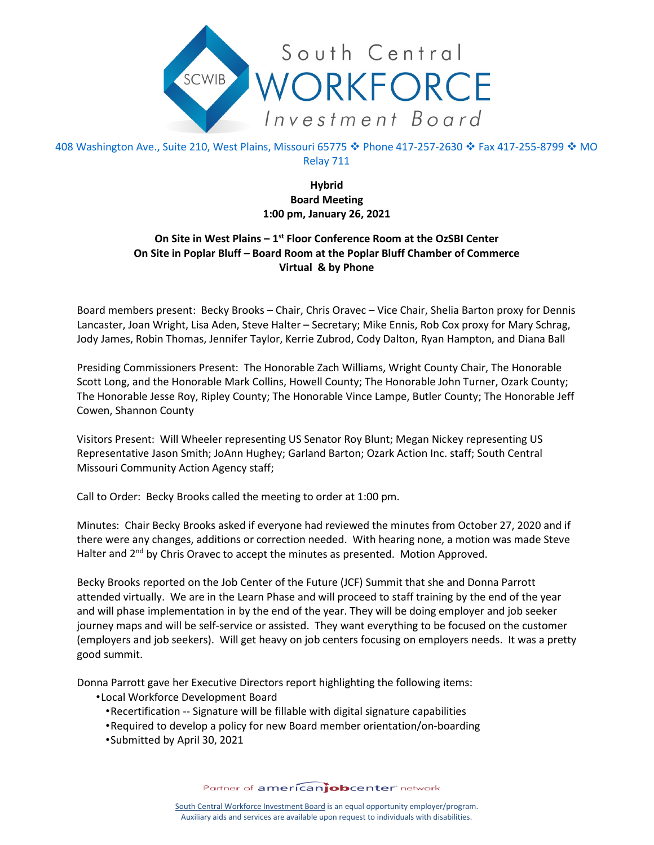

408 Washington Ave., Suite 210, West Plains, Missouri 65775 � Phone 417-257-2630 � Fax 417-255-8799 � MO Relay 711

> **Hybrid Board Meeting 1:00 pm, January 26, 2021**

## **On Site in West Plains – 1st Floor Conference Room at the OzSBI Center On Site in Poplar Bluff – Board Room at the Poplar Bluff Chamber of Commerce Virtual & by Phone**

Board members present: Becky Brooks – Chair, Chris Oravec – Vice Chair, Shelia Barton proxy for Dennis Lancaster, Joan Wright, Lisa Aden, Steve Halter – Secretary; Mike Ennis, Rob Cox proxy for Mary Schrag, Jody James, Robin Thomas, Jennifer Taylor, Kerrie Zubrod, Cody Dalton, Ryan Hampton, and Diana Ball

Presiding Commissioners Present: The Honorable Zach Williams, Wright County Chair, The Honorable Scott Long, and the Honorable Mark Collins, Howell County; The Honorable John Turner, Ozark County; The Honorable Jesse Roy, Ripley County; The Honorable Vince Lampe, Butler County; The Honorable Jeff Cowen, Shannon County

Visitors Present: Will Wheeler representing US Senator Roy Blunt; Megan Nickey representing US Representative Jason Smith; JoAnn Hughey; Garland Barton; Ozark Action Inc. staff; South Central Missouri Community Action Agency staff;

Call to Order: Becky Brooks called the meeting to order at 1:00 pm.

Minutes: Chair Becky Brooks asked if everyone had reviewed the minutes from October 27, 2020 and if there were any changes, additions or correction needed. With hearing none, a motion was made Steve Halter and  $2^{nd}$  by Chris Oravec to accept the minutes as presented. Motion Approved.

Becky Brooks reported on the Job Center of the Future (JCF) Summit that she and Donna Parrott attended virtually. We are in the Learn Phase and will proceed to staff training by the end of the year and will phase implementation in by the end of the year. They will be doing employer and job seeker journey maps and will be self-service or assisted. They want everything to be focused on the customer (employers and job seekers). Will get heavy on job centers focusing on employers needs. It was a pretty good summit.

Donna Parrott gave her Executive Directors report highlighting the following items:

- •Local Workforce Development Board
	- •Recertification -- Signature will be fillable with digital signature capabilities
	- •Required to develop a policy for new Board member orientation/on-boarding
	- •Submitted by April 30, 2021

Partner of americanjobcenter network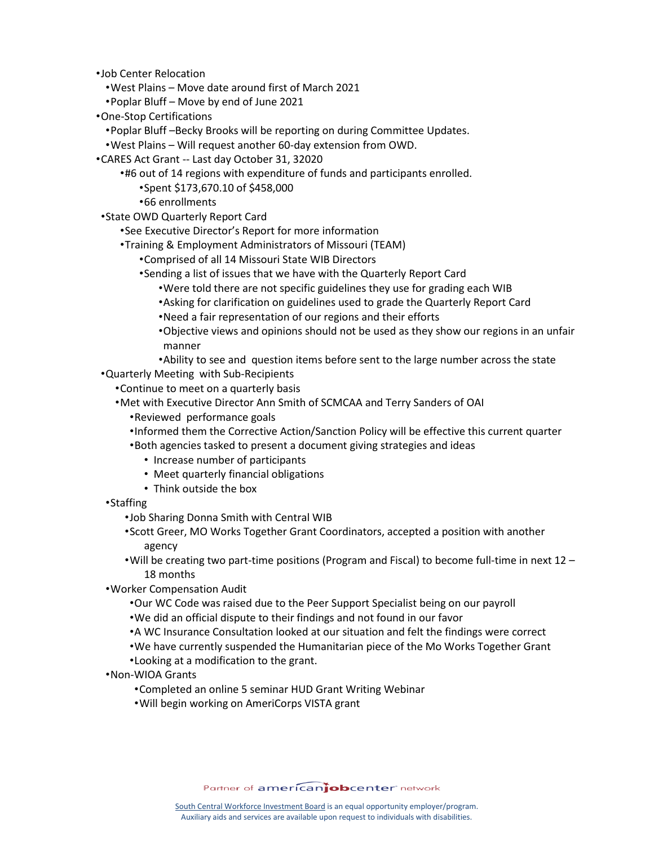•Job Center Relocation

- •West Plains Move date around first of March 2021
- •Poplar Bluff Move by end of June 2021
- •One-Stop Certifications
	- •Poplar Bluff –Becky Brooks will be reporting on during Committee Updates.
	- •West Plains Will request another 60-day extension from OWD.
- •CARES Act Grant -- Last day October 31, 32020
	- •#6 out of 14 regions with expenditure of funds and participants enrolled.
		- •Spent \$173,670.10 of \$458,000
		- •66 enrollments
- •State OWD Quarterly Report Card
	- •See Executive Director's Report for more information
	- •Training & Employment Administrators of Missouri (TEAM)
		- •Comprised of all 14 Missouri State WIB Directors
			- •Sending a list of issues that we have with the Quarterly Report Card
				- •Were told there are not specific guidelines they use for grading each WIB
				- •Asking for clarification on guidelines used to grade the Quarterly Report Card
				- •Need a fair representation of our regions and their efforts
				- •Objective views and opinions should not be used as they show our regions in an unfair manner
				- •Ability to see and question items before sent to the large number across the state
- •Quarterly Meeting with Sub-Recipients
	- •Continue to meet on a quarterly basis
	- •Met with Executive Director Ann Smith of SCMCAA and Terry Sanders of OAI
		- •Reviewed performance goals
		- •Informed them the Corrective Action/Sanction Policy will be effective this current quarter
		- •Both agencies tasked to present a document giving strategies and ideas
			- Increase number of participants
			- Meet quarterly financial obligations
			- Think outside the box
- •Staffing
	- •Job Sharing Donna Smith with Central WIB
	- •Scott Greer, MO Works Together Grant Coordinators, accepted a position with another agency
	- •Will be creating two part-time positions (Program and Fiscal) to become full-time in next 12 18 months
- •Worker Compensation Audit
	- •Our WC Code was raised due to the Peer Support Specialist being on our payroll
	- •We did an official dispute to their findings and not found in our favor
	- •A WC Insurance Consultation looked at our situation and felt the findings were correct
	- •We have currently suspended the Humanitarian piece of the Mo Works Together Grant
	- •Looking at a modification to the grant.
- •Non-WIOA Grants
	- •Completed an online 5 seminar HUD Grant Writing Webinar
	- •Will begin working on AmeriCorps VISTA grant

Partner of americanjobcenter network